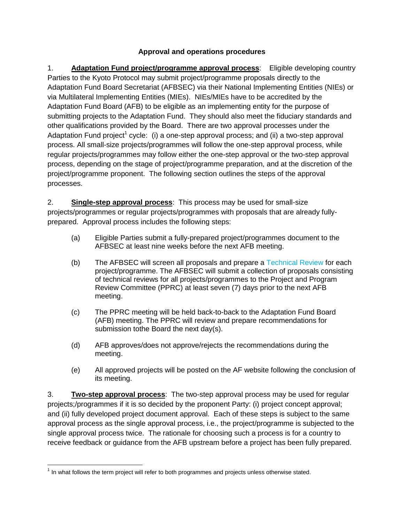## **Approval and operations procedures**

1. **Adaptation Fund project/programme approval process**: Eligible developing country Parties to the Kyoto Protocol may submit project/programme proposals directly to the Adaptation Fund Board Secretariat (AFBSEC) via their National Implementing Entities (NIEs) or via Multilateral Implementing Entities (MIEs). NIEs/MIEs have to be accredited by the Adaptation Fund Board (AFB) to be eligible as an implementing entity for the purpose of submitting projects to the Adaptation Fund. They should also meet the fiduciary standards and other qualifications provided by the Board. There are two approval processes under the Adaptation Fund project<sup>1</sup> cycle: (i) a one-step approval process; and (ii) a two-step approval process. All small-size projects/programmes will follow the one-step approval process, while regular projects/programmes may follow either the one-step approval or the two-step approval process, depending on the stage of project/programme preparation, and at the discretion of the project/programme proponent. The following section outlines the steps of the approval processes.

2. **Single-step approval process**: This process may be used for small-size projects/programmes or regular projects/programmes with proposals that are already fullyprepared. Approval process includes the following steps:

- (a) Eligible Parties submit a fully-prepared project/programmes document to the AFBSEC at least nine weeks before the next AFB meeting.
- (b) The AFBSEC will screen all proposals and prepare a Technical Review for each project/programme. The AFBSEC will submit a collection of proposals consisting of technical reviews for all projects/programmes to the Project and Program Review Committee (PPRC) at least seven (7) days prior to the next AFB meeting.
- (c) The PPRC meeting will be held back-to-back to the Adaptation Fund Board (AFB) meeting. The PPRC will review and prepare recommendations for submission tothe Board the next day(s).
- (d) AFB approves/does not approve/rejects the recommendations during the meeting.
- (e) All approved projects will be posted on the AF website following the conclusion of its meeting.

3. **Two-step approval process**: The two-step approval process may be used for regular projects;/programmes if it is so decided by the proponent Party: (i) project concept approval; and (ii) fully developed project document approval. Each of these steps is subject to the same approval process as the single approval process, i.e., the project/programme is subjected to the single approval process twice. The rationale for choosing such a process is for a country to receive feedback or guidance from the AFB upstream before a project has been fully prepared.

 $\overline{a}$  $1$  In what follows the term project will refer to both programmes and projects unless otherwise stated.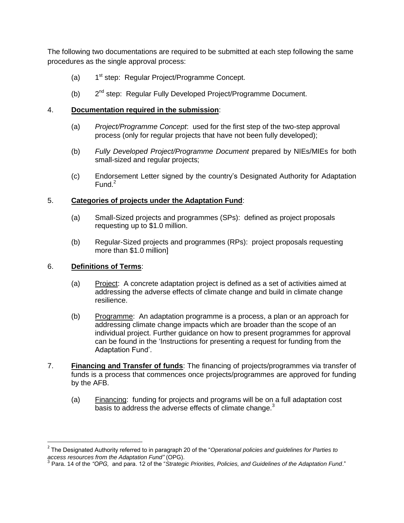The following two documentations are required to be submitted at each step following the same procedures as the single approval process:

- $(a)$ 1<sup>st</sup> step: Regular Project/Programme Concept.
- $(b)$  $2^{nd}$  step: Regular Fully Developed Project/Programme Document.

## 4. **Documentation required in the submission**:

- (a) *Project/Programme Concept*: used for the first step of the two-step approval process (only for regular projects that have not been fully developed);
- (b) *Fully Developed Project/Programme Document* prepared by NIEs/MIEs for both small-sized and regular projects;
- (c) Endorsement Letter signed by the country"s Designated Authority for Adaptation Fund. $2$

## 5. **Categories of projects under the Adaptation Fund**:

- (a) Small-Sized projects and programmes (SPs): defined as project proposals requesting up to \$1.0 million.
- (b) Regular-Sized projects and programmes (RPs): project proposals requesting more than \$1.0 million]

## 6. **Definitions of Terms**:

 $\overline{a}$ 

- (a) Project: A concrete adaptation project is defined as a set of activities aimed at addressing the adverse effects of climate change and build in climate change resilience.
- (b) Programme: An adaptation programme is a process, a plan or an approach for addressing climate change impacts which are broader than the scope of an individual project. Further guidance on how to present programmes for approval can be found in the "Instructions for presenting a request for funding from the Adaptation Fund".
- 7. **Financing and Transfer of funds**: The financing of projects/programmes via transfer of funds is a process that commences once projects/programmes are approved for funding by the AFB.
	- (a) Financing: funding for projects and programs will be on a full adaptation cost basis to address the adverse effects of climate change. $3$

<sup>2</sup> The Designated Authority referred to in paragraph 20 of the "*Operational policies and guidelines for Parties to access resources from the Adaptation Fund"* (OPG). 3 Para. 14 of the *"OPG,* and para. 12 of the "*Strategic Priorities, Policies, and Guidelines of the Adaptation Fund*."